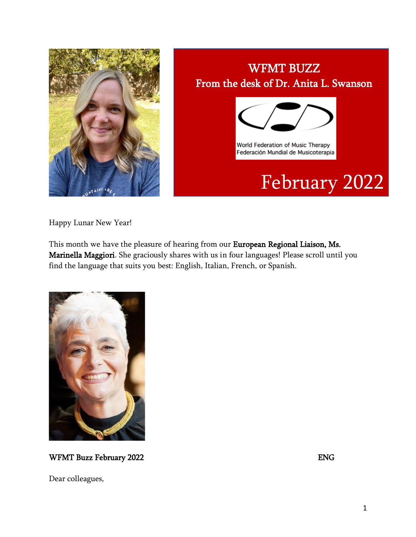

# WFMT BUZZ From the desk of Dr. Anita L. Swanson



World Federation of Music Therapy Federación Mundial de Musicoterapia

# February 2022

Happy Lunar New Year!

This month we have the pleasure of hearing from our European Regional Liaison, Ms. Marinella Maggiori. She graciously shares with us in four languages! Please scroll until you find the language that suits you best: English, Italian, French, or Spanish.



WFMT Buzz February 2022 **ENG** 

Dear colleagues,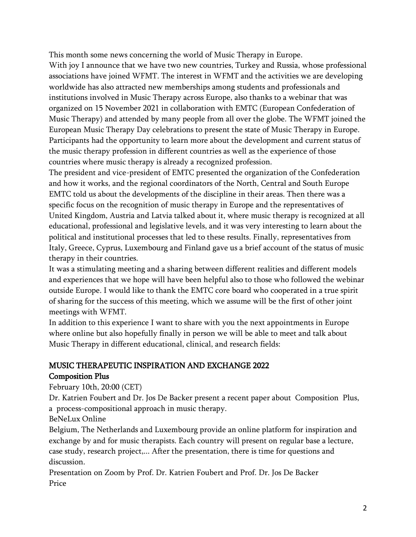This month some news concerning the world of Music Therapy in Europe.

With joy I announce that we have two new countries, Turkey and Russia, whose professional associations have joined WFMT. The interest in WFMT and the activities we are developing worldwide has also attracted new memberships among students and professionals and institutions involved in Music Therapy across Europe, also thanks to a webinar that was organized on 15 November 2021 in collaboration with EMTC (European Confederation of Music Therapy) and attended by many people from all over the globe. The WFMT joined the European Music Therapy Day celebrations to present the state of Music Therapy in Europe. Participants had the opportunity to learn more about the development and current status of the music therapy profession in different countries as well as the experience of those countries where music therapy is already a recognized profession.

The president and vice-president of EMTC presented the organization of the Confederation and how it works, and the regional coordinators of the North, Central and South Europe EMTC told us about the developments of the discipline in their areas. Then there was a specific focus on the recognition of music therapy in Europe and the representatives of United Kingdom, Austria and Latvia talked about it, where music therapy is recognized at all educational, professional and legislative levels, and it was very interesting to learn about the political and institutional processes that led to these results. Finally, representatives from Italy, Greece, Cyprus, Luxembourg and Finland gave us a brief account of the status of music therapy in their countries.

It was a stimulating meeting and a sharing between different realities and different models and experiences that we hope will have been helpful also to those who followed the webinar outside Europe. I would like to thank the EMTC core board who cooperated in a true spirit of sharing for the success of this meeting, which we assume will be the first of other joint meetings with WFMT.

In addition to this experience I want to share with you the next appointments in Europe where online but also hopefully finally in person we will be able to meet and talk about Music Therapy in different educational, clinical, and research fields:

#### MUSIC THERAPEUTIC INSPIRATION AND EXCHANGE 2022

#### Composition Plus

February 10th, 20:00 (CET)

Dr. Katrien Foubert and Dr. Jos De Backer present a recent paper about Composition Plus, a process-compositional approach in music therapy.

BeNeLux Online

Belgium, The Netherlands and Luxembourg provide an online platform for inspiration and exchange by and for music therapists. Each country will present on regular base a lecture, case study, research project,... After the presentation, there is time for questions and discussion.

Presentation on Zoom by Prof. Dr. Katrien Foubert and Prof. Dr. Jos De Backer Price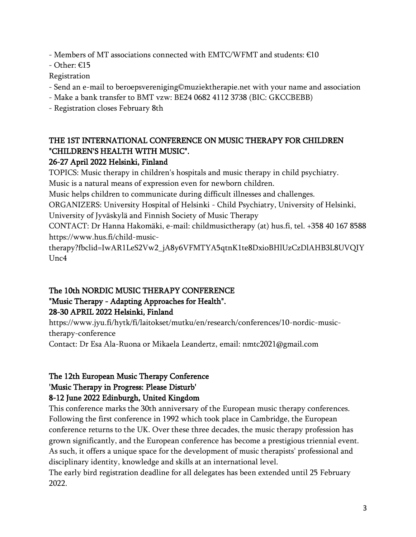- Members of MT associations connected with EMTC/WFMT and students:  $€10$ 

- Other: €15

Registration

- Send an e-mail to beroepsvereniging©muziektherapie.net with your name and association
- Make a bank transfer to BMT vzw: BE24 0682 4112 3738 (BIC: GKCCBEBB)
- Registration closes February 8th

#### THE 1ST INTERNATIONAL CONFERENCE ON MUSIC THERAPY FOR CHILDREN "CHILDREN'S HEALTH WITH MUSIC".

#### 26-27 April 2022 Helsinki, Finland

TOPICS: Music therapy in children's hospitals and music therapy in child psychiatry.

Music is a natural means of expression even for newborn children.

Music helps children to communicate during difficult illnesses and challenges.

ORGANIZERS: University Hospital of Helsinki - Child Psychiatry, University of Helsinki,

University of Jyväskylä and Finnish Society of Music Therapy

CONTACT: Dr Hanna Hakomäki, e-mail: childmusictherapy (at) hus.fi, tel. +358 40 167 8588 https://www.hus.fi/child-music-

therapy?fbclid=IwAR1LeS2Vw2\_jA8y6VFMTYA5qtnK1te8DxioBHlUzCzDlAHB3L8UVQIY Unc4

#### The 10th NORDIC MUSIC THERAPY CONFERENCE "Music Therapy - Adapting Approaches for Health". 28-30 APRIL 2022 Helsinki, Finland

https://www.jyu.fi/hytk/fi/laitokset/mutku/en/research/conferences/10-nordic-musictherapy-conference

Contact: Dr Esa Ala-Ruona or Mikaela Leandertz, email: nmtc2021@gmail.com

#### The 12th European Music Therapy Conference 'Music Therapy in Progress: Please Disturb' 8-12 June 2022 Edinburgh, United Kingdom

This conference marks the 30th anniversary of the European music therapy conferences. Following the first conference in 1992 which took place in Cambridge, the European conference returns to the UK. Over these three decades, the music therapy profession has grown significantly, and the European conference has become a prestigious triennial event. As such, it offers a unique space for the development of music therapists' professional and disciplinary identity, knowledge and skills at an international level.

The early bird registration deadline for all delegates has been extended until 25 February 2022.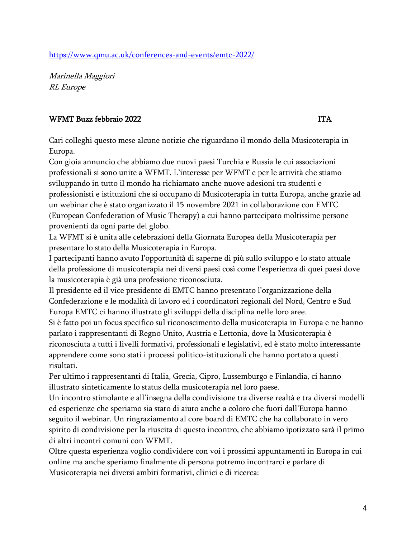<https://www.qmu.ac.uk/conferences-and-events/emtc-2022/>

Marinella Maggiori RL Europe

#### WFMT Buzz febbraio 2022 **ITA**

Cari colleghi questo mese alcune notizie che riguardano il mondo della Musicoterapia in Europa.

Con gioia annuncio che abbiamo due nuovi paesi Turchia e Russia le cui associazioni professionali si sono unite a WFMT. L'interesse per WFMT e per le attività che stiamo sviluppando in tutto il mondo ha richiamato anche nuove adesioni tra studenti e professionisti e istituzioni che si occupano di Musicoterapia in tutta Europa, anche grazie ad un webinar che è stato organizzato il 15 novembre 2021 in collaborazione con EMTC (European Confederation of Music Therapy) a cui hanno partecipato moltissime persone provenienti da ogni parte del globo.

La WFMT si è unita alle celebrazioni della Giornata Europea della Musicoterapia per presentare lo stato della Musicoterapia in Europa.

I partecipanti hanno avuto l'opportunità di saperne di più sullo sviluppo e lo stato attuale della professione di musicoterapia nei diversi paesi così come l'esperienza di quei paesi dove la musicoterapia è già una professione riconosciuta.

Il presidente ed il vice presidente di EMTC hanno presentato l'organizzazione della Confederazione e le modalità di lavoro ed i coordinatori regionali del Nord, Centro e Sud Europa EMTC ci hanno illustrato gli sviluppi della disciplina nelle loro aree.

Si è fatto poi un focus specifico sul riconoscimento della musicoterapia in Europa e ne hanno parlato i rappresentanti di Regno Unito, Austria e Lettonia, dove la Musicoterapia è riconosciuta a tutti i livelli formativi, professionali e legislativi, ed è stato molto interessante apprendere come sono stati i processi politico-istituzionali che hanno portato a questi risultati.

Per ultimo i rappresentanti di Italia, Grecia, Cipro, Lussemburgo e Finlandia, ci hanno illustrato sinteticamente lo status della musicoterapia nel loro paese.

Un incontro stimolante e all'insegna della condivisione tra diverse realtà e tra diversi modelli ed esperienze che speriamo sia stato di aiuto anche a coloro che fuori dall'Europa hanno seguito il webinar. Un ringraziamento al core board di EMTC che ha collaborato in vero spirito di condivisione per la riuscita di questo incontro, che abbiamo ipotizzato sarà il primo di altri incontri comuni con WFMT.

Oltre questa esperienza voglio condividere con voi i prossimi appuntamenti in Europa in cui online ma anche speriamo finalmente di persona potremo incontrarci e parlare di Musicoterapia nei diversi ambiti formativi, clinici e di ricerca: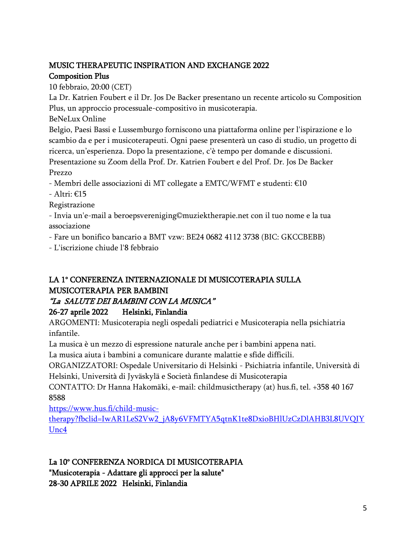# MUSIC THERAPEUTIC INSPIRATION AND EXCHANGE 2022

#### Composition Plus

10 febbraio, 20:00 (CET)

La Dr. Katrien Foubert e il Dr. Jos De Backer presentano un recente articolo su Composition Plus, un approccio processuale-compositivo in musicoterapia.

BeNeLux Online

Belgio, Paesi Bassi e Lussemburgo forniscono una piattaforma online per l'ispirazione e lo scambio da e per i musicoterapeuti. Ogni paese presenterà un caso di studio, un progetto di ricerca, un'esperienza. Dopo la presentazione, c'è tempo per domande e discussioni. Presentazione su Zoom della Prof. Dr. Katrien Foubert e del Prof. Dr. Jos De Backer Prezzo

- Membri delle associazioni di MT collegate a EMTC/WFMT e studenti: €10

- Altri: €15

Registrazione

- Invia un'e-mail a beroepsvereniging©muziektherapie.net con il tuo nome e la tua associazione

- Fare un bonifico bancario a BMT vzw: BE24 0682 4112 3738 (BIC: GKCCBEBB)

- L'iscrizione chiude l'8 febbraio

#### LA 1° CONFERENZA INTERNAZIONALE DI MUSICOTERAPIA SULLA MUSICOTERAPIA PER BAMBINI

## "La SALUTE DEI BAMBINI CON LA MUSICA"

#### 26-27 aprile 2022 Helsinki, Finlandia

ARGOMENTI: Musicoterapia negli ospedali pediatrici e Musicoterapia nella psichiatria infantile.

La musica è un mezzo di espressione naturale anche per i bambini appena nati.

La musica aiuta i bambini a comunicare durante malattie e sfide difficili.

ORGANIZZATORI: Ospedale Universitario di Helsinki - Psichiatria infantile, Università di Helsinki, Università di Jyväskylä e Società finlandese di Musicoterapia

CONTATTO: Dr Hanna Hakomäki, e-mail: childmusictherapy (at) hus.fi, tel. +358 40 167 8588

[https://www.hus.fi/child-music-](https://www.hus.fi/child-music-therapy?fbclid=IwAR1LeS2Vw2_jA8y6VFMTYA5qtnK1te8DxioBHlUzCzDlAHB3L8UVQIYUnc4)

[therapy?fbclid=IwAR1LeS2Vw2\\_jA8y6VFMTYA5qtnK1te8DxioBHlUzCzDlAHB3L8UVQIY](https://www.hus.fi/child-music-therapy?fbclid=IwAR1LeS2Vw2_jA8y6VFMTYA5qtnK1te8DxioBHlUzCzDlAHB3L8UVQIYUnc4) [Unc4](https://www.hus.fi/child-music-therapy?fbclid=IwAR1LeS2Vw2_jA8y6VFMTYA5qtnK1te8DxioBHlUzCzDlAHB3L8UVQIYUnc4)

#### La 10° CONFERENZA NORDICA DI MUSICOTERAPIA "Musicoterapia - Adattare gli approcci per la salute" 28-30 APRILE 2022 Helsinki, Finlandia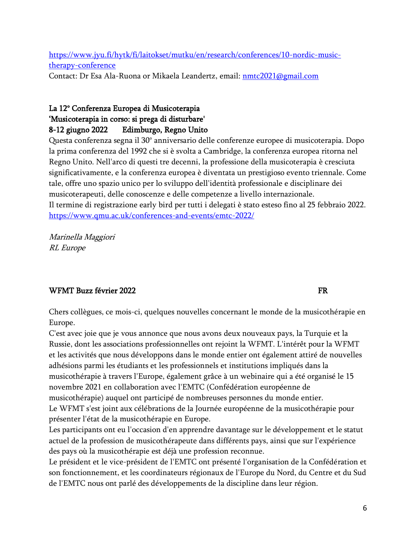[https://www.jyu.fi/hytk/fi/laitokset/mutku/en/research/conferences/10-nordic-music](https://www.jyu.fi/hytk/fi/laitokset/mutku/en/research/conferences/10-nordic-music-therapy-conference)[therapy-conference](https://www.jyu.fi/hytk/fi/laitokset/mutku/en/research/conferences/10-nordic-music-therapy-conference)

Contact: Dr Esa Ala-Ruona or Mikaela Leandertz, email: [nmtc2021@gmail.com](mailto:nmtc2021@gmail.com)

#### La 12° Conferenza Europea di Musicoterapia 'Musicoterapia in corso: si prega di disturbare' 8-12 giugno 2022 Edimburgo, Regno Unito

Questa conferenza segna il 30° anniversario delle conferenze europee di musicoterapia. Dopo la prima conferenza del 1992 che si è svolta a Cambridge, la conferenza europea ritorna nel Regno Unito. Nell'arco di questi tre decenni, la professione della musicoterapia è cresciuta significativamente, e la conferenza europea è diventata un prestigioso evento triennale. Come tale, offre uno spazio unico per lo sviluppo dell'identità professionale e disciplinare dei musicoterapeuti, delle conoscenze e delle competenze a livello internazionale. Il termine di registrazione early bird per tutti i delegati è stato esteso fino al 25 febbraio 2022. <https://www.qmu.ac.uk/conferences-and-events/emtc-2022/>

Marinella Maggiori RL Europe

#### WFMT Buzz février 2022

Chers collègues, ce mois-ci, quelques nouvelles concernant le monde de la musicothérapie en Europe.

C'est avec joie que je vous annonce que nous avons deux nouveaux pays, la Turquie et la Russie, dont les associations professionnelles ont rejoint la WFMT. L'intérêt pour la WFMT et les activités que nous développons dans le monde entier ont également attiré de nouvelles adhésions parmi les étudiants et les professionnels et institutions impliqués dans la musicothérapie à travers l'Europe, également grâce à un webinaire qui a été organisé le 15 novembre 2021 en collaboration avec l'EMTC (Confédération européenne de musicothérapie) auquel ont participé de nombreuses personnes du monde entier. Le WFMT s'est joint aux célébrations de la Journée européenne de la musicothérapie pour présenter l'état de la musicothérapie en Europe.

Les participants ont eu l'occasion d'en apprendre davantage sur le développement et le statut actuel de la profession de musicothérapeute dans différents pays, ainsi que sur l'expérience des pays où la musicothérapie est déjà une profession reconnue.

Le président et le vice-président de l'EMTC ont présenté l'organisation de la Confédération et son fonctionnement, et les coordinateurs régionaux de l'Europe du Nord, du Centre et du Sud de l'EMTC nous ont parlé des développements de la discipline dans leur région.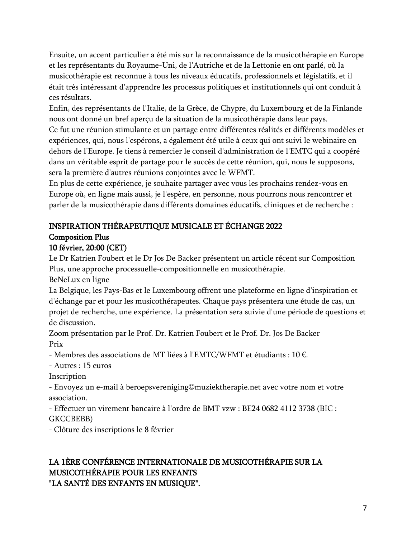Ensuite, un accent particulier a été mis sur la reconnaissance de la musicothérapie en Europe et les représentants du Royaume-Uni, de l'Autriche et de la Lettonie en ont parlé, où la musicothérapie est reconnue à tous les niveaux éducatifs, professionnels et législatifs, et il était très intéressant d'apprendre les processus politiques et institutionnels qui ont conduit à ces résultats.

Enfin, des représentants de l'Italie, de la Grèce, de Chypre, du Luxembourg et de la Finlande nous ont donné un bref aperçu de la situation de la musicothérapie dans leur pays.

Ce fut une réunion stimulante et un partage entre différentes réalités et différents modèles et expériences, qui, nous l'espérons, a également été utile à ceux qui ont suivi le webinaire en dehors de l'Europe. Je tiens à remercier le conseil d'administration de l'EMTC qui a coopéré dans un véritable esprit de partage pour le succès de cette réunion, qui, nous le supposons, sera la première d'autres réunions conjointes avec le WFMT.

En plus de cette expérience, je souhaite partager avec vous les prochains rendez-vous en Europe où, en ligne mais aussi, je l'espère, en personne, nous pourrons nous rencontrer et parler de la musicothérapie dans différents domaines éducatifs, cliniques et de recherche :

### INSPIRATION THÉRAPEUTIQUE MUSICALE ET ÉCHANGE 2022 Composition Plus

#### 10 février, 20:00 (CET)

Le Dr Katrien Foubert et le Dr Jos De Backer présentent un article récent sur Composition Plus, une approche processuelle-compositionnelle en musicothérapie.

BeNeLux en ligne

La Belgique, les Pays-Bas et le Luxembourg offrent une plateforme en ligne d'inspiration et d'échange par et pour les musicothérapeutes. Chaque pays présentera une étude de cas, un projet de recherche, une expérience. La présentation sera suivie d'une période de questions et de discussion.

Zoom présentation par le Prof. Dr. Katrien Foubert et le Prof. Dr. Jos De Backer Prix

- Membres des associations de MT liées à l'EMTC/WFMT et étudiants : 10 €.

- Autres : 15 euros

Inscription

- Envoyez un e-mail à beroepsvereniging©muziektherapie.net avec votre nom et votre association.

- Effectuer un virement bancaire à l'ordre de BMT vzw : BE24 0682 4112 3738 (BIC : GKCCBEBB)

- Clôture des inscriptions le 8 février

# LA 1ÈRE CONFÉRENCE INTERNATIONALE DE MUSICOTHÉRAPIE SUR LA MUSICOTHÉRAPIE POUR LES ENFANTS

"LA SANTÉ DES ENFANTS EN MUSIQUE".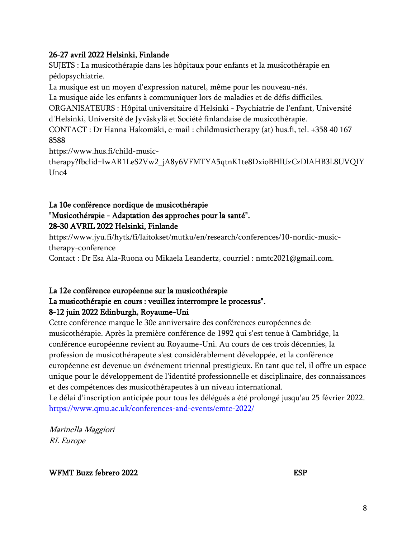#### 26-27 avril 2022 Helsinki, Finlande

SUJETS : La musicothérapie dans les hôpitaux pour enfants et la musicothérapie en pédopsychiatrie.

La musique est un moyen d'expression naturel, même pour les nouveau-nés.

La musique aide les enfants à communiquer lors de maladies et de défis difficiles.

ORGANISATEURS : Hôpital universitaire d'Helsinki - Psychiatrie de l'enfant, Université d'Helsinki, Université de Jyväskylä et Société finlandaise de musicothérapie.

CONTACT : Dr Hanna Hakomäki, e-mail : childmusictherapy (at) hus.fi, tel. +358 40 167 8588

https://www.hus.fi/child-music-

therapy?fbclid=IwAR1LeS2Vw2\_jA8y6VFMTYA5qtnK1te8DxioBHlUzCzDlAHB3L8UVQIY  $Unc4$ 

#### La 10e conférence nordique de musicothérapie "Musicothérapie - Adaptation des approches pour la santé". 28-30 AVRIL 2022 Helsinki, Finlande

https://www.jyu.fi/hytk/fi/laitokset/mutku/en/research/conferences/10-nordic-musictherapy-conference

Contact : Dr Esa Ala-Ruona ou Mikaela Leandertz, courriel : nmtc2021@gmail.com.

# La 12e conférence européenne sur la musicothérapie La musicothérapie en cours : veuillez interrompre le processus".

#### 8-12 juin 2022 Edinburgh, Royaume-Uni

Cette conférence marque le 30e anniversaire des conférences européennes de musicothérapie. Après la première conférence de 1992 qui s'est tenue à Cambridge, la conférence européenne revient au Royaume-Uni. Au cours de ces trois décennies, la profession de musicothérapeute s'est considérablement développée, et la conférence européenne est devenue un événement triennal prestigieux. En tant que tel, il offre un espace unique pour le développement de l'identité professionnelle et disciplinaire, des connaissances et des compétences des musicothérapeutes à un niveau international.

Le délai d'inscription anticipée pour tous les délégués a été prolongé jusqu'au 25 février 2022. <https://www.qmu.ac.uk/conferences-and-events/emtc-2022/>

Marinella Maggiori RL Europe

WFMT Buzz febrero 2022 ESP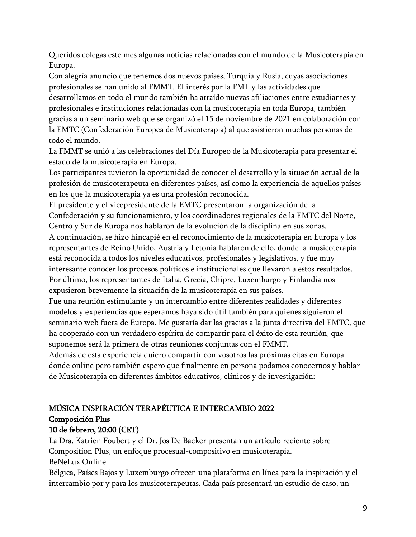Queridos colegas este mes algunas noticias relacionadas con el mundo de la Musicoterapia en Europa.

Con alegría anuncio que tenemos dos nuevos países, Turquía y Rusia, cuyas asociaciones profesionales se han unido al FMMT. El interés por la FMT y las actividades que desarrollamos en todo el mundo también ha atraído nuevas afiliaciones entre estudiantes y profesionales e instituciones relacionadas con la musicoterapia en toda Europa, también gracias a un seminario web que se organizó el 15 de noviembre de 2021 en colaboración con la EMTC (Confederación Europea de Musicoterapia) al que asistieron muchas personas de todo el mundo.

La FMMT se unió a las celebraciones del Día Europeo de la Musicoterapia para presentar el estado de la musicoterapia en Europa.

Los participantes tuvieron la oportunidad de conocer el desarrollo y la situación actual de la profesión de musicoterapeuta en diferentes países, así como la experiencia de aquellos países en los que la musicoterapia ya es una profesión reconocida.

El presidente y el vicepresidente de la EMTC presentaron la organización de la Confederación y su funcionamiento, y los coordinadores regionales de la EMTC del Norte, Centro y Sur de Europa nos hablaron de la evolución de la disciplina en sus zonas.

A continuación, se hizo hincapié en el reconocimiento de la musicoterapia en Europa y los representantes de Reino Unido, Austria y Letonia hablaron de ello, donde la musicoterapia está reconocida a todos los niveles educativos, profesionales y legislativos, y fue muy interesante conocer los procesos políticos e institucionales que llevaron a estos resultados. Por último, los representantes de Italia, Grecia, Chipre, Luxemburgo y Finlandia nos expusieron brevemente la situación de la musicoterapia en sus países.

Fue una reunión estimulante y un intercambio entre diferentes realidades y diferentes modelos y experiencias que esperamos haya sido útil también para quienes siguieron el seminario web fuera de Europa. Me gustaría dar las gracias a la junta directiva del EMTC, que ha cooperado con un verdadero espíritu de compartir para el éxito de esta reunión, que suponemos será la primera de otras reuniones conjuntas con el FMMT.

Además de esta experiencia quiero compartir con vosotros las próximas citas en Europa donde online pero también espero que finalmente en persona podamos conocernos y hablar de Musicoterapia en diferentes ámbitos educativos, clínicos y de investigación:

## MÚSICA INSPIRACIÓN TERAPÉUTICA E INTERCAMBIO 2022 Composición Plus

#### 10 de febrero, 20:00 (CET)

La Dra. Katrien Foubert y el Dr. Jos De Backer presentan un artículo reciente sobre Composition Plus, un enfoque procesual-compositivo en musicoterapia. BeNeLux Online

Bélgica, Países Bajos y Luxemburgo ofrecen una plataforma en línea para la inspiración y el intercambio por y para los musicoterapeutas. Cada país presentará un estudio de caso, un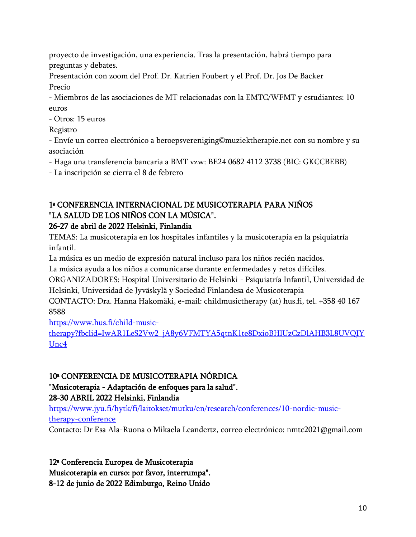proyecto de investigación, una experiencia. Tras la presentación, habrá tiempo para preguntas y debates.

Presentación con zoom del Prof. Dr. Katrien Foubert y el Prof. Dr. Jos De Backer Precio

- Miembros de las asociaciones de MT relacionadas con la EMTC/WFMT y estudiantes: 10 euros

- Otros: 15 euros

Registro

- Envíe un correo electrónico a beroepsvereniging©muziektherapie.net con su nombre y su asociación

- Haga una transferencia bancaria a BMT vzw: BE24 0682 4112 3738 (BIC: GKCCBEBB)

- La inscripción se cierra el 8 de febrero

### 1ª CONFERENCIA INTERNACIONAL DE MUSICOTERAPIA PARA NIÑOS "LA SALUD DE LOS NIÑOS CON LA MÚSICA".

#### 26-27 de abril de 2022 Helsinki, Finlandia

TEMAS: La musicoterapia en los hospitales infantiles y la musicoterapia en la psiquiatría infantil.

La música es un medio de expresión natural incluso para los niños recién nacidos.

La música ayuda a los niños a comunicarse durante enfermedades y retos difíciles.

ORGANIZADORES: Hospital Universitario de Helsinki - Psiquiatría Infantil, Universidad de Helsinki, Universidad de Jyväskylä y Sociedad Finlandesa de Musicoterapia

CONTACTO: Dra. Hanna Hakomäki, e-mail: childmusictherapy (at) hus.fi, tel. +358 40 167 8588

[https://www.hus.fi/child-music-](https://www.hus.fi/child-music-therapy?fbclid=IwAR1LeS2Vw2_jA8y6VFMTYA5qtnK1te8DxioBHlUzCzDlAHB3L8UVQIYUnc4)

[therapy?fbclid=IwAR1LeS2Vw2\\_jA8y6VFMTYA5qtnK1te8DxioBHlUzCzDlAHB3L8UVQIY](https://www.hus.fi/child-music-therapy?fbclid=IwAR1LeS2Vw2_jA8y6VFMTYA5qtnK1te8DxioBHlUzCzDlAHB3L8UVQIYUnc4) [Unc4](https://www.hus.fi/child-music-therapy?fbclid=IwAR1LeS2Vw2_jA8y6VFMTYA5qtnK1te8DxioBHlUzCzDlAHB3L8UVQIYUnc4)

#### 10ª CONFERENCIA DE MUSICOTERAPIA NÓRDICA

"Musicoterapia - Adaptación de enfoques para la salud". 28-30 ABRIL 2022 Helsinki, Finlandia

[https://www.jyu.fi/hytk/fi/laitokset/mutku/en/research/conferences/10-nordic-music](https://www.jyu.fi/hytk/fi/laitokset/mutku/en/research/conferences/10-nordic-music-therapy-conference)[therapy-conference](https://www.jyu.fi/hytk/fi/laitokset/mutku/en/research/conferences/10-nordic-music-therapy-conference)

Contacto: Dr Esa Ala-Ruona o Mikaela Leandertz, correo electrónico: nmtc2021@gmail.com

12ª Conferencia Europea de Musicoterapia

Musicoterapia en curso: por favor, interrumpa".

8-12 de junio de 2022 Edimburgo, Reino Unido